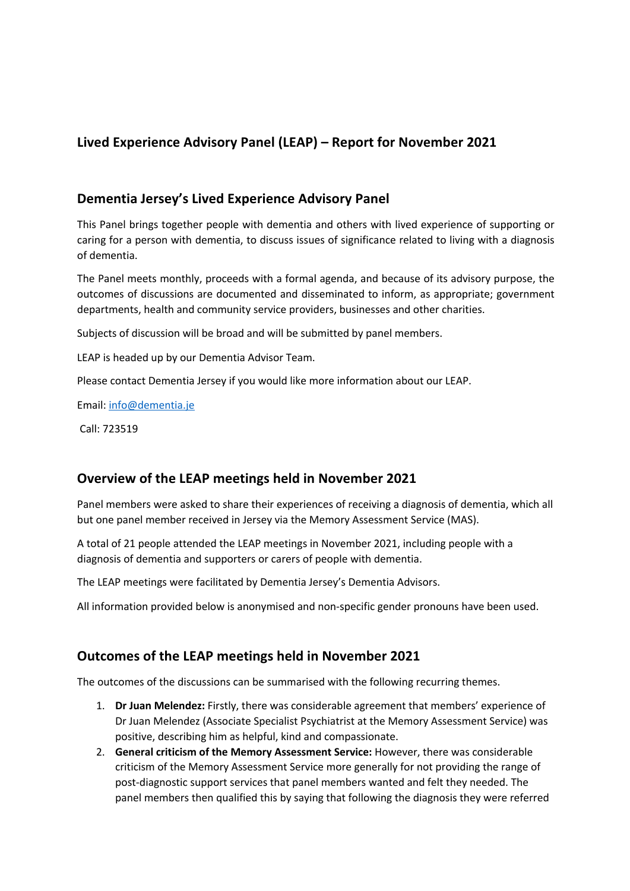## **Lived Experience Advisory Panel (LEAP) – Report for November 2021**

#### **Dementia Jersey's Lived Experience Advisory Panel**

This Panel brings together people with dementia and others with lived experience of supporting or caring for a person with dementia, to discuss issues of significance related to living with a diagnosis of dementia.

The Panel meets monthly, proceeds with a formal agenda, and because of its advisory purpose, the outcomes of discussions are documented and disseminated to inform, as appropriate; government departments, health and community service providers, businesses and other charities.

Subjects of discussion will be broad and will be submitted by panel members.

LEAP is headed up by our Dementia Advisor Team.

Please contact Dementia Jersey if you would like more information about our LEAP.

Email: info@dementia.je

Call: 723519

### **Overview of the LEAP meetings held in November 2021**

Panel members were asked to share their experiences of receiving a diagnosis of dementia, which all but one panel member received in Jersey via the Memory Assessment Service (MAS).

A total of 21 people attended the LEAP meetings in November 2021, including people with a diagnosis of dementia and supporters or carers of people with dementia.

The LEAP meetings were facilitated by Dementia Jersey's Dementia Advisors.

All information provided below is anonymised and non-specific gender pronouns have been used.

### **Outcomes of the LEAP meetings held in November 2021**

The outcomes of the discussions can be summarised with the following recurring themes.

- 1. **Dr Juan Melendez:** Firstly, there was considerable agreement that members' experience of Dr Juan Melendez (Associate Specialist Psychiatrist at the Memory Assessment Service) was positive, describing him as helpful, kind and compassionate.
- 2. **General criticism of the Memory Assessment Service:** However, there was considerable criticism of the Memory Assessment Service more generally for not providing the range of post-diagnostic support services that panel members wanted and felt they needed. The panel members then qualified this by saying that following the diagnosis they were referred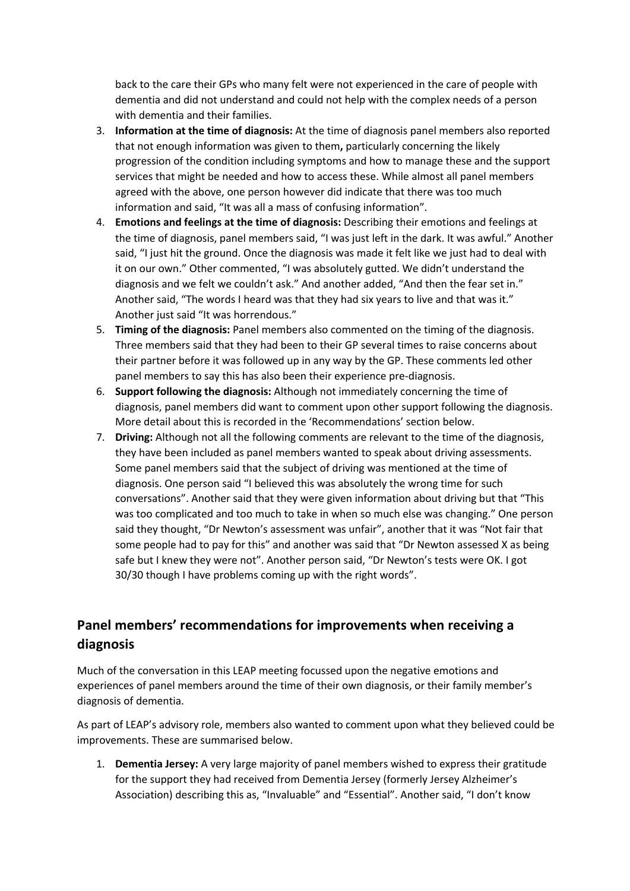back to the care their GPs who many felt were not experienced in the care of people with dementia and did not understand and could not help with the complex needs of a person with dementia and their families.

- 3. **Information at the time of diagnosis:** At the time of diagnosis panel members also reported that not enough information was given to them**,** particularly concerning the likely progression of the condition including symptoms and how to manage these and the support services that might be needed and how to access these. While almost all panel members agreed with the above, one person however did indicate that there was too much information and said, "It was all a mass of confusing information".
- 4. **Emotions and feelings at the time of diagnosis:** Describing their emotions and feelings at the time of diagnosis, panel members said, "I was just left in the dark. It was awful." Another said, "I just hit the ground. Once the diagnosis was made it felt like we just had to deal with it on our own." Other commented, "I was absolutely gutted. We didn't understand the diagnosis and we felt we couldn't ask." And another added, "And then the fear set in." Another said, "The words I heard was that they had six years to live and that was it." Another just said "It was horrendous."
- 5. **Timing of the diagnosis:** Panel members also commented on the timing of the diagnosis. Three members said that they had been to their GP several times to raise concerns about their partner before it was followed up in any way by the GP. These comments led other panel members to say this has also been their experience pre-diagnosis.
- 6. **Support following the diagnosis:** Although not immediately concerning the time of diagnosis, panel members did want to comment upon other support following the diagnosis. More detail about this is recorded in the 'Recommendations' section below.
- 7. **Driving:** Although not all the following comments are relevant to the time of the diagnosis, they have been included as panel members wanted to speak about driving assessments. Some panel members said that the subject of driving was mentioned at the time of diagnosis. One person said "I believed this was absolutely the wrong time for such conversations". Another said that they were given information about driving but that "This was too complicated and too much to take in when so much else was changing." One person said they thought, "Dr Newton's assessment was unfair", another that it was "Not fair that some people had to pay for this" and another was said that "Dr Newton assessed X as being safe but I knew they were not". Another person said, "Dr Newton's tests were OK. I got 30/30 though I have problems coming up with the right words".

# **Panel members' recommendations for improvements when receiving a diagnosis**

Much of the conversation in this LEAP meeting focussed upon the negative emotions and experiences of panel members around the time of their own diagnosis, or their family member's diagnosis of dementia.

As part of LEAP's advisory role, members also wanted to comment upon what they believed could be improvements. These are summarised below.

1. **Dementia Jersey:** A very large majority of panel members wished to express their gratitude for the support they had received from Dementia Jersey (formerly Jersey Alzheimer's Association) describing this as, "Invaluable" and "Essential". Another said, "I don't know